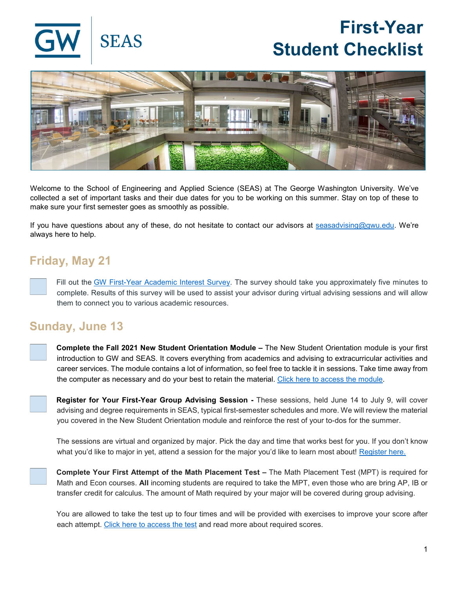

# **First-Year Student Checklist**



Welcome to the School of Engineering and Applied Science (SEAS) at The George Washington University. We've collected a set of important tasks and their due dates for you to be working on this summer. Stay on top of these to make sure your first semester goes as smoothly as possible.

If you have questions about any of these, do not hesitate to contact our advisors at [seasadvising@gwu.edu.](mailto:seasadvising@gwu.edu) We're always here to help.

## **Friday, May 21**

Fill out the [GW First-Year Academic Interest Survey.](https://seasgwu.qualtrics.com/jfe/form/SV_1Nh5AIYs1SWR8Pk) The survey should take you approximately five minutes to complete. Results of this survey will be used to assist your advisor during virtual advising sessions and will allow them to connect you to various academic resources.

### **Sunday, June 13**

**Complete the Fall 2021 New Student Orientation Module –** The New Student Orientation module is your first introduction to GW and SEAS. It covers everything from academics and advising to extracurricular activities and career services. The module contains a lot of information, so feel free to tackle it in sessions. Take time away from the computer as necessary and do your best to retain the material. [Click here to access the module.](https://launch.comevo.com/gwu/2837/-/pub/Welcome)

**Register for Your First-Year Group Advising Session -** These sessions, held June 14 to July 9, will cover advising and degree requirements in SEAS, typical first-semester schedules and more. We will review the material you covered in the New Student Orientation module and reinforce the rest of your to-dos for the summer.

The sessions are virtual and organized by major. Pick the day and time that works best for you. If you don't know what you'd like to major in yet, attend a session for the major you'd like to learn most about! [Register here.](https://calendly.com/first-year-group-advising-seas)

**Complete Your First Attempt of the Math Placement Test –** The Math Placement Test (MPT) is required for Math and Econ courses. **All** incoming students are required to take the MPT, even those who are bring AP, IB or transfer credit for calculus. The amount of Math required by your major will be covered during group advising.

You are allowed to take the test up to four times and will be provided with exercises to improve your score after each attempt. [Click here to access the test](https://math.columbian.gwu.edu/aleks-math-placement-test) and read more about required scores.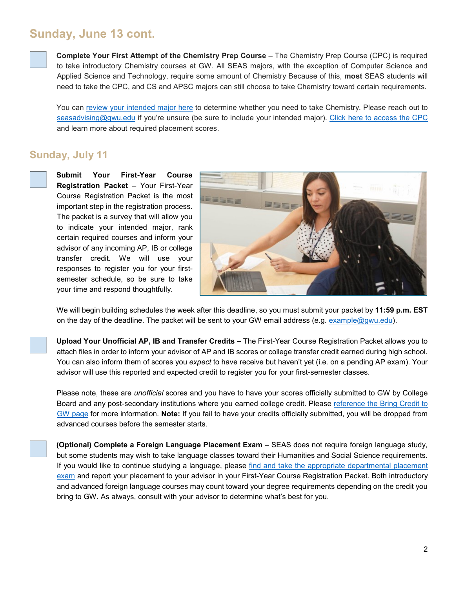## **Sunday, June 13 cont.**



**Complete Your First Attempt of the Chemistry Prep Course** – The Chemistry Prep Course (CPC) is required to take introductory Chemistry courses at GW. All SEAS majors, with the exception of Computer Science and Applied Science and Technology, require some amount of Chemistry Because of this, **most** SEAS students will need to take the CPC, and CS and APSC majors can still choose to take Chemistry toward certain requirements.

You can [review your intended major here](http://bulletin.gwu.edu/engineering-applied-science/#undergraduatetext) to determine whether you need to take Chemistry. Please reach out to [seasadvising@gwu.edu](mailto:seasadvising@gwu.edu) if you're unsure (be sure to include your intended major). [Click here to access the CPC](https://chemistry.columbian.gwu.edu/aleks-chemistry-prep-course) and learn more about required placement scores.

#### **Sunday, July 11**

**Submit Your First-Year Course Registration Packet** – Your First-Year Course Registration Packet is the most important step in the registration process. The packet is a survey that will allow you to indicate your intended major, rank certain required courses and inform your advisor of any incoming AP, IB or college transfer credit. We will use your responses to register you for your firstsemester schedule, so be sure to take your time and respond thoughtfully.



We will begin building schedules the week after this deadline, so you must submit your packet by **11:59 p.m. EST**  on the day of the deadline. The packet will be sent to your GW email address (e.g. [example@gwu.edu\)](mailto:example@gwu.edu).

**Upload Your Unofficial AP, IB and Transfer Credits –** The First-Year Course Registration Packet allows you to attach files in order to inform your advisor of AP and IB scores or college transfer credit earned during high school. You can also inform them of scores you *expect* to have receive but haven't yet (i.e. on a pending AP exam). Your advisor will use this reported and expected credit to register you for your first-semester classes.

Please note, these are *unofficial* scores and you have to have your scores officially submitted to GW by College Board and any post-secondary institutions where you earned college credit. Please [reference the Bring Credit to](https://undergraduate.admissions.gwu.edu/bring-credits-gw)  [GW page](https://undergraduate.admissions.gwu.edu/bring-credits-gw) for more information. **Note:** If you fail to have your credits officially submitted, you will be dropped from advanced courses before the semester starts.



**(Optional) Complete a Foreign Language Placement Exam - SEAS does not require foreign language study,** but some students may wish to take language classes toward their Humanities and Social Science requirements. If you would like to continue studying a language, please [find and take the appropriate departmental placement](https://languagecenter.columbian.gwu.edu/foreign-language-placement-exams)  [exam](https://languagecenter.columbian.gwu.edu/foreign-language-placement-exams) and report your placement to your advisor in your First-Year Course Registration Packet. Both introductory and advanced foreign language courses may count toward your degree requirements depending on the credit you bring to GW. As always, consult with your advisor to determine what's best for you.